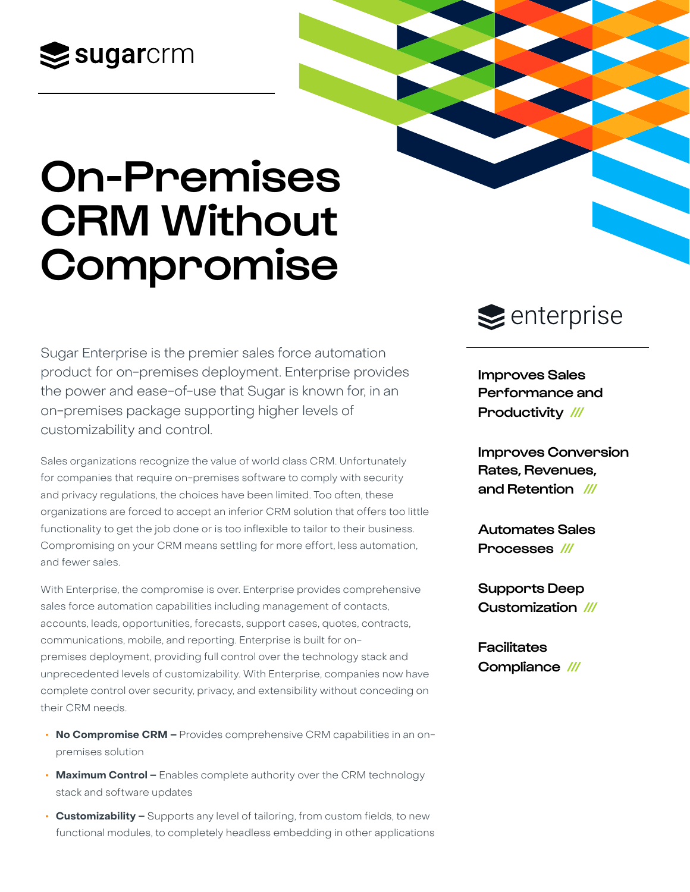## $\leq$ sugarcrm

# On-Premises CRM Without Compromise

Sugar Enterprise is the premier sales force automation product for on-premises deployment. Enterprise provides the power and ease-of-use that Sugar is known for, in an on-premises package supporting higher levels of customizability and control.

Sales organizations recognize the value of world class CRM. Unfortunately for companies that require on-premises software to comply with security and privacy regulations, the choices have been limited. Too often, these organizations are forced to accept an inferior CRM solution that offers too little functionality to get the job done or is too inflexible to tailor to their business. Compromising on your CRM means settling for more effort, less automation, and fewer sales.

With Enterprise, the compromise is over. Enterprise provides comprehensive sales force automation capabilities including management of contacts, accounts, leads, opportunities, forecasts, support cases, quotes, contracts, communications, mobile, and reporting. Enterprise is built for onpremises deployment, providing full control over the technology stack and unprecedented levels of customizability. With Enterprise, companies now have complete control over security, privacy, and extensibility without conceding on their CRM needs.

- **• No Compromise CRM –** Provides comprehensive CRM capabilities in an onpremises solution
- **• Maximum Control –** Enables complete authority over the CRM technology stack and software updates
- **• Customizability –** Supports any level of tailoring, from custom fields, to new functional modules, to completely headless embedding in other applications

### $\geq$  enterprise

Improves Sales Performance and Productivity ///

Improves Conversion Rates, Revenues, and Retention ///

Automates Sales Processes ///

Supports Deep Customization ///

**Facilitates** Compliance ///